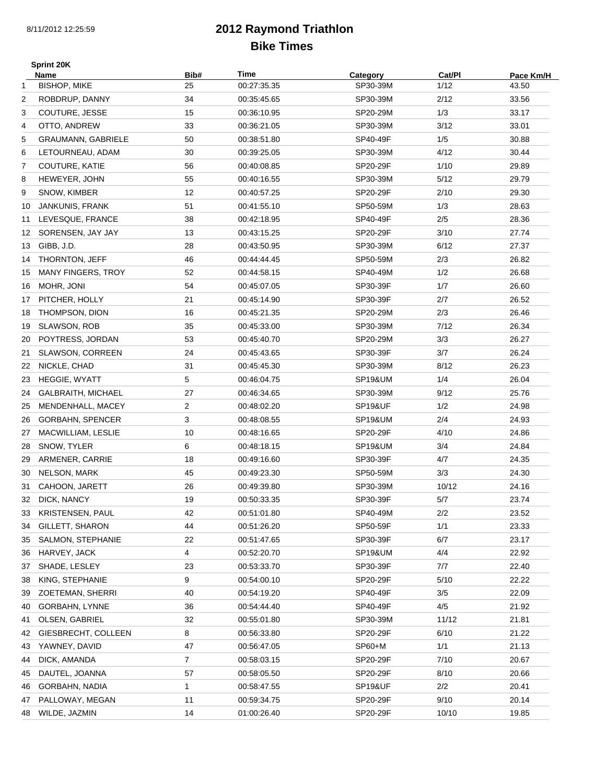## **2012 Raymond Triathlon Bike Times**

|    | <b>Sprint 20K</b>         |                |             |                    |        |           |
|----|---------------------------|----------------|-------------|--------------------|--------|-----------|
|    | Name                      | Bib#           | Time        | Category           | Cat/Pl | Pace Km/H |
| 1  | <b>BISHOP, MIKE</b>       | 25             | 00:27:35.35 | SP30-39M           | 1/12   | 43.50     |
| 2  | ROBDRUP, DANNY            | 34             | 00:35:45.65 | SP30-39M           | 2/12   | 33.56     |
| 3  | COUTURE, JESSE            | 15             | 00:36:10.95 | SP20-29M           | 1/3    | 33.17     |
| 4  | OTTO, ANDREW              | 33             | 00:36:21.05 | SP30-39M           | 3/12   | 33.01     |
| 5  | GRAUMANN, GABRIELE        | 50             | 00:38:51.80 | SP40-49F           | 1/5    | 30.88     |
| 6  | LETOURNEAU, ADAM          | 30             | 00:39:25.05 | SP30-39M           | 4/12   | 30.44     |
| 7  | COUTURE, KATIE            | 56             | 00:40:08.85 | SP20-29F           | 1/10   | 29.89     |
| 8  | HEWEYER, JOHN             | 55             | 00:40:16.55 | SP30-39M           | 5/12   | 29.79     |
| 9  | SNOW, KIMBER              | 12             | 00:40:57.25 | SP20-29F           | 2/10   | 29.30     |
| 10 | JANKUNIS, FRANK           | 51             | 00:41:55.10 | SP50-59M           | 1/3    | 28.63     |
| 11 | LEVESQUE, FRANCE          | 38             | 00:42:18.95 | SP40-49F           | 2/5    | 28.36     |
| 12 | SORENSEN, JAY JAY         | 13             | 00:43:15.25 | SP20-29F           | 3/10   | 27.74     |
| 13 | GIBB, J.D.                | 28             | 00:43:50.95 | SP30-39M           | 6/12   | 27.37     |
|    | 14 THORNTON, JEFF         | 46             | 00:44:44.45 | SP50-59M           | 2/3    | 26.82     |
| 15 | <b>MANY FINGERS, TROY</b> | 52             | 00:44:58.15 | SP40-49M           | 1/2    | 26.68     |
| 16 | MOHR, JONI                | 54             | 00:45:07.05 | SP30-39F           | 1/7    | 26.60     |
| 17 | PITCHER, HOLLY            | 21             | 00:45:14.90 | SP30-39F           | 2/7    | 26.52     |
| 18 | THOMPSON, DION            | 16             | 00:45:21.35 | SP20-29M           | 2/3    | 26.46     |
| 19 | SLAWSON, ROB              | 35             | 00:45:33.00 | SP30-39M           | 7/12   | 26.34     |
| 20 | POYTRESS, JORDAN          | 53             | 00:45:40.70 | SP20-29M           | 3/3    | 26.27     |
| 21 | <b>SLAWSON, CORREEN</b>   | 24             | 00:45:43.65 | SP30-39F           | 3/7    | 26.24     |
| 22 | NICKLE, CHAD              | 31             | 00:45:45.30 | SP30-39M           | 8/12   | 26.23     |
| 23 | <b>HEGGIE, WYATT</b>      | 5              | 00:46:04.75 | SP19&UM            | 1/4    | 26.04     |
| 24 | GALBRAITH, MICHAEL        | 27             | 00:46:34.65 | SP30-39M           | 9/12   | 25.76     |
| 25 | MENDENHALL, MACEY         | 2              | 00:48:02.20 | SP19&UF            | 1/2    | 24.98     |
| 26 | <b>GORBAHN, SPENCER</b>   | 3              | 00:48:08.55 | <b>SP19&amp;UM</b> | 2/4    | 24.93     |
| 27 | MACWILLIAM, LESLIE        | 10             | 00:48:16.65 | SP20-29F           | 4/10   | 24.86     |
| 28 | SNOW, TYLER               | 6              | 00:48:18.15 | SP19&UM            | 3/4    | 24.84     |
| 29 | ARMENER, CARRIE           | 18             | 00:49:16.60 | SP30-39F           | 4/7    | 24.35     |
| 30 | NELSON, MARK              | 45             | 00:49:23.30 | SP50-59M           | 3/3    | 24.30     |
| 31 | CAHOON, JARETT            | 26             | 00:49:39.80 | SP30-39M           | 10/12  | 24.16     |
| 32 | DICK, NANCY               | 19             | 00:50:33.35 | SP30-39F           | $5/7$  | 23.74     |
| 33 | <b>KRISTENSEN, PAUL</b>   | 42             | 00:51:01.80 | SP40-49M           | 2/2    | 23.52     |
| 34 | <b>GILLETT, SHARON</b>    | 44             | 00:51:26.20 | SP50-59F           | 1/1    | 23.33     |
| 35 | SALMON, STEPHANIE         | 22             | 00:51:47.65 | SP30-39F           | 6/7    | 23.17     |
| 36 | HARVEY, JACK              | 4              | 00:52:20.70 | <b>SP19&amp;UM</b> | 4/4    | 22.92     |
| 37 | SHADE, LESLEY             | 23             | 00:53:33.70 | SP30-39F           | 7/7    | 22.40     |
| 38 | KING, STEPHANIE           | 9              | 00:54:00.10 | SP20-29F           | 5/10   | 22.22     |
| 39 | ZOETEMAN, SHERRI          | 40             | 00:54:19.20 | SP40-49F           | 3/5    | 22.09     |
| 40 | GORBAHN, LYNNE            | 36             | 00:54:44.40 | SP40-49F           | 4/5    | 21.92     |
| 41 | OLSEN, GABRIEL            | 32             | 00:55:01.80 | SP30-39M           | 11/12  | 21.81     |
| 42 | GIESBRECHT, COLLEEN       | 8              | 00:56:33.80 | SP20-29F           | 6/10   | 21.22     |
| 43 | YAWNEY, DAVID             | 47             | 00:56:47.05 | SP60+M             | 1/1    | 21.13     |
| 44 | DICK, AMANDA              | $\overline{7}$ | 00:58:03.15 | SP20-29F           | 7/10   | 20.67     |
| 45 | DAUTEL, JOANNA            | 57             | 00:58:05.50 | SP20-29F           | 8/10   | 20.66     |
| 46 | GORBAHN, NADIA            | 1              | 00:58:47.55 | <b>SP19&amp;UF</b> | 2/2    | 20.41     |
|    |                           |                |             |                    | 9/10   | 20.14     |
| 47 | PALLOWAY, MEGAN           | 11             | 00:59:34.75 | SP20-29F           |        |           |
| 48 | WILDE, JAZMIN             | 14             | 01:00:26.40 | SP20-29F           | 10/10  | 19.85     |